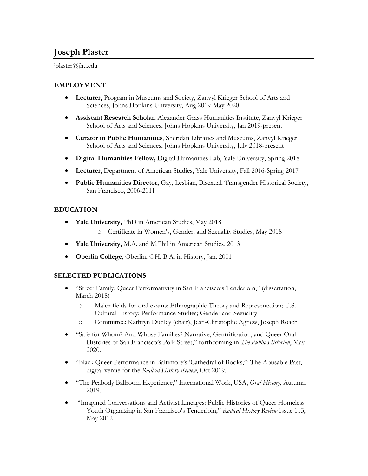# **Joseph Plaster**

jplaster@jhu.edu

## **EMPLOYMENT**

- **Lecturer,** Program in Museums and Society, Zanvyl Krieger School of Arts and Sciences, Johns Hopkins University, Aug 2019-May 2020
- **Assistant Research Scholar**, Alexander Grass Humanities Institute, Zanvyl Krieger School of Arts and Sciences, Johns Hopkins University, Jan 2019-present
- **Curator in Public Humanities**, Sheridan Libraries and Museums, Zanvyl Krieger School of Arts and Sciences, Johns Hopkins University, July 2018-present
- **Digital Humanities Fellow,** Digital Humanities Lab, Yale University, Spring 2018
- **Lecturer**, Department of American Studies, Yale University, Fall 2016-Spring 2017
- **Public Humanities Director,** Gay, Lesbian, Bisexual, Transgender Historical Society, San Francisco, 2006-2011

# **EDUCATION**

- **Yale University,** PhD in American Studies, May 2018
	- o Certificate in Women's, Gender, and Sexuality Studies, May 2018
- **Yale University,** M.A. and M.Phil in American Studies, 2013
- **Oberlin College**, Oberlin, OH, B.A. in History, Jan. 2001

## **SELECTED PUBLICATIONS**

- "Street Family: Queer Performativity in San Francisco's Tenderloin," (dissertation, March 2018)
	- o Major fields for oral exams: Ethnographic Theory and Representation; U.S. Cultural History; Performance Studies; Gender and Sexuality
	- o Committee: Kathryn Dudley (chair), Jean-Christophe Agnew, Joseph Roach
- "Safe for Whom? And Whose Families? Narrative, Gentrification, and Queer Oral Histories of San Francisco's Polk Street," forthcoming in *The Public Historian*, May 2020.
- "Black Queer Performance in Baltimore's 'Cathedral of Books,'" The Abusable Past, digital venue for the *Radical History Review*, Oct 2019.
- "The Peabody Ballroom Experience," International Work, USA, *Oral History*, Autumn 2019.
- "Imagined Conversations and Activist Lineages: Public Histories of Queer Homeless Youth Organizing in San Francisco's Tenderloin," *Radical History Review* Issue 113, May 2012.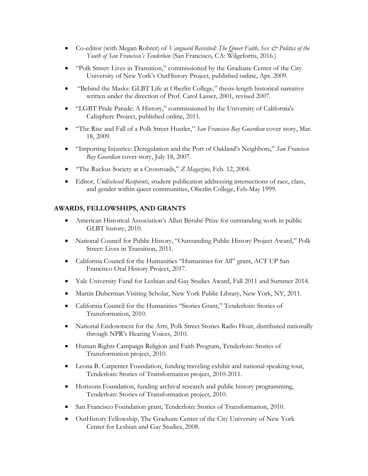- Co-editor (with Megan Rohrer) of *Vanguard Revisited: The Queer Faith, Sex*  $\breve{\in}$  *Politics of the Youth of San Francisco's Tenderloin* (San Francisco, CA: Wilgefortis, 2016.)
- "Polk Street: Lives in Transition," commissioned by the Graduate Center of the City University of New York's OutHistory Project, published online, Apr. 2009.
- "Behind the Masks: GLBT Life at Oberlin College," thesis-length historical narrative written under the direction of Prof. Carol Lasser, 2001, revised 2007.
- "LGBT Pride Parade: A History," commissioned by the University of California's Calisphere Project, published online, 2011.
- "The Rise and Fall of a Polk Street Hustler," *San Francisco Bay Guardian* cover story, Mar. 18, 2009.
- "Importing Injustice: Deregulation and the Port of Oakland's Neighbors," *San Francisco Bay Guardian* cover story, July 18, 2007.
- "The Ruckus Society at a Crossroads," *Z Magazine*, Feb. 12, 2004.
- Editor, *Undisclosed Recipients*, student publication addressing intersections of race, class, and gender within queer communities, Oberlin College, Feb-May 1999.

# **AWARDS, FELLOWSHIPS, AND GRANTS**

- American Historical Association's Allan Bérubé Prize for outstanding work in public GLBT history, 2010.
- National Council for Public History, "Outstanding Public History Project Award," Polk Street: Lives in Transition, 2011.
- California Council for the Humanities "Humanities for All" grant, ACT UP San Francisco Oral History Project, 2017.
- Yale University Fund for Lesbian and Gay Studies Award, Fall 2011 and Summer 2014.
- Martin Duberman Visiting Scholar, New York Public Library, New York, NY, 2011.
- California Council for the Humanities "Stories Grant," Tenderloin: Stories of Transformation, 2010.
- National Endowment for the Arts, Polk Street Stories Radio Hour, distributed nationally through NPR's Hearing Voices, 2010.
- Human Rights Campaign Religion and Faith Program, Tenderloin: Stories of Transformation project, 2010.
- Leona B. Carpenter Foundation, funding traveling exhibit and national speaking tour, Tenderloin: Stories of Transformation project, 2010-2011.
- Horizons Foundation, funding archival research and public history programming, Tenderloin: Stories of Transformation project, 2010.
- San Francisco Foundation grant, Tenderloin: Stories of Transformation, 2010.
- OutHistory Fellowship, The Graduate Center of the City University of New York Center for Lesbian and Gay Studies, 2008.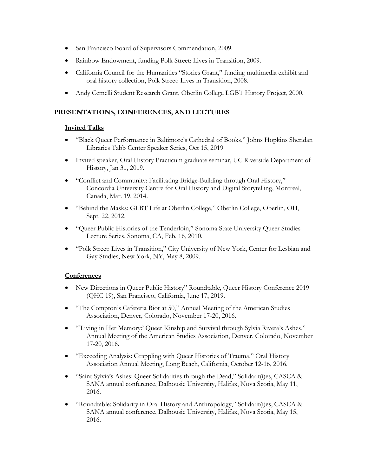- San Francisco Board of Supervisors Commendation, 2009.
- Rainbow Endowment, funding Polk Street: Lives in Transition, 2009.
- California Council for the Humanities "Stories Grant," funding multimedia exhibit and oral history collection, Polk Street: Lives in Transition, 2008.
- Andy Cemelli Student Research Grant, Oberlin College LGBT History Project, 2000.

#### **PRESENTATIONS, CONFERENCES, AND LECTURES**

#### **Invited Talks**

- "Black Queer Performance in Baltimore's Cathedral of Books," Johns Hopkins Sheridan Libraries Tabb Center Speaker Series, Oct 15, 2019
- Invited speaker, Oral History Practicum graduate seminar, UC Riverside Department of History, Jan 31, 2019.
- "Conflict and Community: Facilitating Bridge-Building through Oral History," Concordia University Centre for Oral History and Digital Storytelling, Montreal, Canada, Mar. 19, 2014.
- "Behind the Masks: GLBT Life at Oberlin College," Oberlin College, Oberlin, OH, Sept. 22, 2012.
- "Queer Public Histories of the Tenderloin," Sonoma State University Queer Studies Lecture Series, Sonoma, CA, Feb. 16, 2010.
- "Polk Street: Lives in Transition," City University of New York, Center for Lesbian and Gay Studies, New York, NY, May 8, 2009.

#### **Conferences**

- New Directions in Queer Public History" Roundtable, Queer History Conference 2019 (QHC 19), San Francisco, California, June 17, 2019.
- "The Compton's Cafeteria Riot at 50," Annual Meeting of the American Studies Association, Denver, Colorado, November 17-20, 2016.
- "'Living in Her Memory:' Queer Kinship and Survival through Sylvia Rivera's Ashes," Annual Meeting of the American Studies Association, Denver, Colorado, November 17-20, 2016.
- "Exceeding Analysis: Grappling with Queer Histories of Trauma," Oral History Association Annual Meeting, Long Beach, California, October 12-16, 2016.
- "Saint Sylvia's Ashes: Queer Solidarities through the Dead," Solidarit(i)es, CASCA & SANA annual conference, Dalhousie University, Halifax, Nova Scotia, May 11, 2016.
- "Roundtable: Solidarity in Oral History and Anthropology," Solidarit(i)es, CASCA & SANA annual conference, Dalhousie University, Halifax, Nova Scotia, May 15, 2016.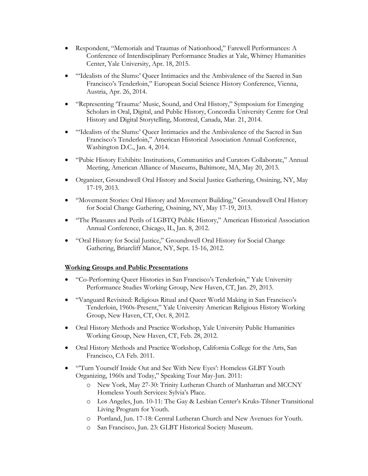- Respondent, "Memorials and Traumas of Nationhood," Farewell Performances: A Conference of Interdisciplinary Performance Studies at Yale, Whitney Humanities Center, Yale University, Apr. 18, 2015.
- "'Idealists of the Slums:' Queer Intimacies and the Ambivalence of the Sacred in San Francisco's Tenderloin," European Social Science History Conference, Vienna, Austria, Apr. 26, 2014.
- "Representing 'Trauma:' Music, Sound, and Oral History," Symposium for Emerging Scholars in Oral, Digital, and Public History, Concordia University Centre for Oral History and Digital Storytelling, Montreal, Canada, Mar. 21, 2014.
- "'Idealists of the Slums:' Queer Intimacies and the Ambivalence of the Sacred in San Francisco's Tenderloin," American Historical Association Annual Conference, Washington D.C., Jan. 4, 2014.
- "Pubic History Exhibits: Institutions, Communities and Curators Collaborate," Annual Meeting, American Alliance of Museums, Baltimore, MA, May 20, 2013.
- Organizer, Groundswell Oral History and Social Justice Gathering, Ossining, NY, May 17-19, 2013.
- "Movement Stories: Oral History and Movement Building," Groundswell Oral History for Social Change Gathering, Ossining, NY, May 17-19, 2013.
- "The Pleasures and Perils of LGBTQ Public History," American Historical Association Annual Conference, Chicago, IL, Jan. 8, 2012.
- "Oral History for Social Justice," Groundswell Oral History for Social Change Gathering, Briarcliff Manor, NY, Sept. 15-16, 2012.

## **Working Groups and Public Presentations**

- "Co-Performing Queer Histories in San Francisco's Tenderloin," Yale University Performance Studies Working Group, New Haven, CT, Jan. 29, 2013.
- "Vanguard Revisited: Religious Ritual and Queer World Making in San Francisco's Tenderloin, 1960s-Present," Yale University American Religious History Working Group, New Haven, CT, Oct. 8, 2012.
- Oral History Methods and Practice Workshop, Yale University Public Humanities Working Group, New Haven, CT, Feb. 28, 2012.
- Oral History Methods and Practice Workshop, California College for the Arts, San Francisco, CA Feb. 2011.
- "'Turn Yourself Inside Out and See With New Eyes': Homeless GLBT Youth Organizing, 1960s and Today," Speaking Tour May-Jun. 2011:
	- o New York, May 27-30: Trinity Lutheran Church of Manhattan and MCCNY Homeless Youth Services: Sylvia's Place.
	- o Los Angeles, Jun. 10-11: The Gay & Lesbian Center's Kruks-Tilsner Transitional Living Program for Youth.
	- o Portland, Jun. 17-18: Central Lutheran Church and New Avenues for Youth.
	- o San Francisco, Jun. 23: GLBT Historical Society Museum.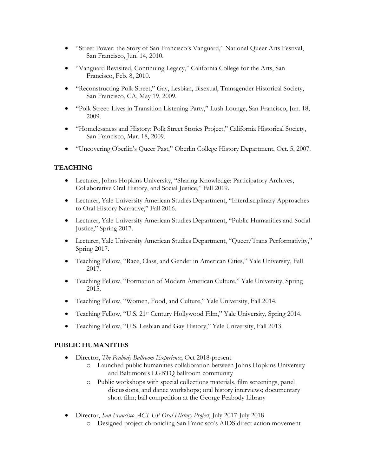- "Street Power: the Story of San Francisco's Vanguard," National Queer Arts Festival, San Francisco, Jun. 14, 2010.
- "Vanguard Revisited, Continuing Legacy," California College for the Arts, San Francisco, Feb. 8, 2010.
- "Reconstructing Polk Street," Gay, Lesbian, Bisexual, Transgender Historical Society, San Francisco, CA, May 19, 2009.
- "Polk Street: Lives in Transition Listening Party," Lush Lounge, San Francisco, Jun. 18, 2009.
- "Homelessness and History: Polk Street Stories Project," California Historical Society, San Francisco, Mar. 18, 2009.
- "Uncovering Oberlin's Queer Past," Oberlin College History Department, Oct. 5, 2007.

## **TEACHING**

- Lecturer, Johns Hopkins University, "Sharing Knowledge: Participatory Archives, Collaborative Oral History, and Social Justice," Fall 2019.
- Lecturer, Yale University American Studies Department, "Interdisciplinary Approaches to Oral History Narrative," Fall 2016.
- Lecturer, Yale University American Studies Department, "Public Humanities and Social Justice," Spring 2017.
- Lecturer, Yale University American Studies Department, "Queer/Trans Performativity," Spring 2017.
- Teaching Fellow, "Race, Class, and Gender in American Cities," Yale University, Fall 2017.
- Teaching Fellow, "Formation of Modern American Culture," Yale University, Spring 2015.
- Teaching Fellow, "Women, Food, and Culture," Yale University, Fall 2014.
- Teaching Fellow, "U.S. 21st Century Hollywood Film," Yale University, Spring 2014.
- Teaching Fellow, "U.S. Lesbian and Gay History," Yale University, Fall 2013.

#### **PUBLIC HUMANITIES**

- Director, *The Peabody Ballroom Experience*, Oct 2018-present
	- o Launched public humanities collaboration between Johns Hopkins University and Baltimore's LGBTQ ballroom community
	- o Public workshops with special collections materials, film screenings, panel discussions, and dance workshops; oral history interviews; documentary short film; ball competition at the George Peabody Library
- Director, *San Francisco ACT UP Oral History Project*, July 2017-July 2018
	- o Designed project chronicling San Francisco's AIDS direct action movement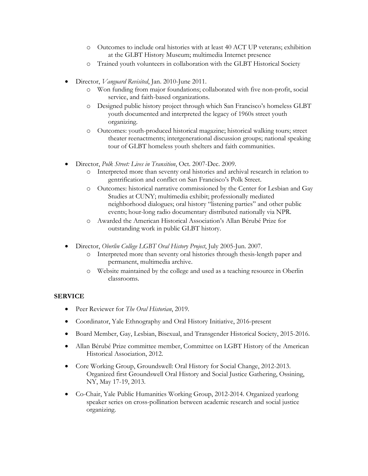- o Outcomes to include oral histories with at least 40 ACT UP veterans; exhibition at the GLBT History Museum; multimedia Internet presence
- o Trained youth volunteers in collaboration with the GLBT Historical Society
- Director, *Vanguard Revisited*, Jan. 2010-June 2011.
	- o Won funding from major foundations; collaborated with five non-profit, social service, and faith-based organizations.
	- o Designed public history project through which San Francisco's homeless GLBT youth documented and interpreted the legacy of 1960s street youth organizing.
	- o Outcomes: youth-produced historical magazine; historical walking tours; street theater reenactments; intergenerational discussion groups; national speaking tour of GLBT homeless youth shelters and faith communities.
- Director, *Polk Street: Lives in Transition*, Oct. 2007-Dec. 2009.
	- o Interpreted more than seventy oral histories and archival research in relation to gentrification and conflict on San Francisco's Polk Street.
	- o Outcomes: historical narrative commissioned by the Center for Lesbian and Gay Studies at CUNY; multimedia exhibit; professionally mediated neighborhood dialogues; oral history "listening parties" and other public events; hour-long radio documentary distributed nationally via NPR.
	- o Awarded the American Historical Association's Allan Bérubé Prize for outstanding work in public GLBT history.
- Director, *Oberlin College LGBT Oral History Project*, July 2005-Jun. 2007.
	- o Interpreted more than seventy oral histories through thesis-length paper and permanent, multimedia archive.
	- o Website maintained by the college and used as a teaching resource in Oberlin classrooms.

## **SERVICE**

- Peer Reviewer for *The Oral Historian*, 2019.
- Coordinator, Yale Ethnography and Oral History Initiative, 2016-present
- Board Member, Gay, Lesbian, Bisexual, and Transgender Historical Society, 2015-2016.
- Allan Bérubé Prize committee member, Committee on LGBT History of the American Historical Association, 2012.
- Core Working Group, Groundswell: Oral History for Social Change, 2012-2013. Organized first Groundswell Oral History and Social Justice Gathering, Ossining, NY, May 17-19, 2013.
- Co-Chair, Yale Public Humanities Working Group, 2012-2014. Organized yearlong speaker series on cross-pollination between academic research and social justice organizing.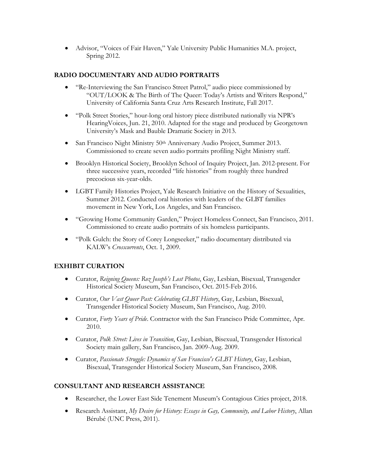• Advisor, "Voices of Fair Haven," Yale University Public Humanities M.A. project, Spring 2012.

# **RADIO DOCUMENTARY AND AUDIO PORTRAITS**

- "Re-Interviewing the San Francisco Street Patrol," audio piece commissioned by "OUT/LOOK & The Birth of The Queer: Today's Artists and Writers Respond," University of California Santa Cruz Arts Research Institute, Fall 2017.
- "Polk Street Stories," hour-long oral history piece distributed nationally via NPR's HearingVoices, Jun. 21, 2010. Adapted for the stage and produced by Georgetown University's Mask and Bauble Dramatic Society in 2013.
- San Francisco Night Ministry 50th Anniversary Audio Project, Summer 2013. Commissioned to create seven audio portraits profiling Night Ministry staff.
- Brooklyn Historical Society, Brooklyn School of Inquiry Project, Jan. 2012-present. For three successive years, recorded "life histories" from roughly three hundred precocious six-year-olds.
- LGBT Family Histories Project, Yale Research Initiative on the History of Sexualities, Summer 2012. Conducted oral histories with leaders of the GLBT families movement in New York, Los Angeles, and San Francisco.
- "Growing Home Community Garden," Project Homeless Connect, San Francisco, 2011. Commissioned to create audio portraits of six homeless participants.
- "Polk Gulch: the Story of Corey Longseeker," radio documentary distributed via KALW's *Crosscurrents*, Oct. 1, 2009.

## **EXHIBIT CURATION**

- Curator, *Reigning Queens: Roz Joseph's Lost Photos*, Gay, Lesbian, Bisexual, Transgender Historical Society Museum, San Francisco, Oct. 2015-Feb 2016.
- Curator, *Our Vast Queer Past: Celebrating GLBT History*, Gay, Lesbian, Bisexual, Transgender Historical Society Museum, San Francisco, Aug. 2010.
- Curator, *Forty Years of Pride*. Contractor with the San Francisco Pride Committee, Apr. 2010.
- Curator, *Polk Street: Lives in Transition*, Gay, Lesbian, Bisexual, Transgender Historical Society main gallery, San Francisco, Jan. 2009-Aug. 2009.
- Curator, *Passionate Struggle: Dynamics of San Francisco's GLBT History*, Gay, Lesbian, Bisexual, Transgender Historical Society Museum, San Francisco, 2008.

## **CONSULTANT AND RESEARCH ASSISTANCE**

- Researcher, the Lower East Side Tenement Museum's Contagious Cities project, 2018.
- Research Assistant, *My Desire for History: Essays in Gay, Community, and Labor History*, Allan Bérubé (UNC Press, 2011).